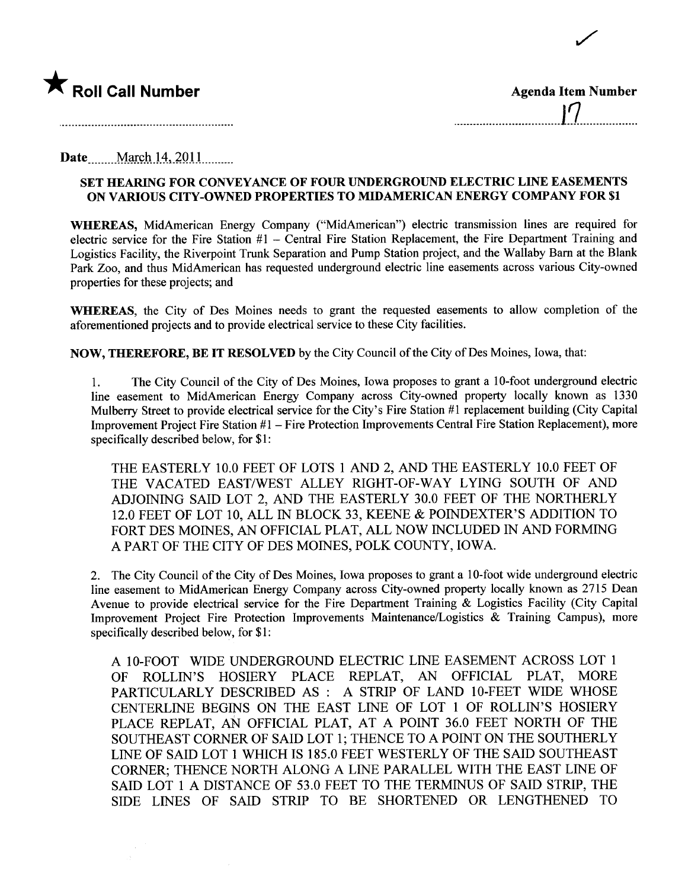

| <b>Agenda Item Number</b> |
|---------------------------|
| $\mathcal{L}$             |

/'

Date \_\_\_\_\_ March 14, 2011 \_\_\_\_\_\_

## SET HEARING FOR CONVEYANCE OF FOUR UNDERGROUND ELECTRIC LINE EASEMENTS ON VARIOUS CITY-OWNED PROPERTIES TO MIDAMERICAN ENERGY COMPANY FOR \$1

WHEREAS, MidAmerican Energy Company ("MidAmerican") electric transmission lines are required for electric service for the Fire Station  $#1$  – Central Fire Station Replacement, the Fire Department Training and Logistics Facilty, the Riverpoint Trunk Separation and Pump Station project, and the Wallaby Barn at the Blan Park Zoo, and thus MidAmerican has requested underground electric line easements across various City-owned properties for these projects; and

WHEREAS, the City of Des Moines needs to grant the requested easements to allow completion of the aforementioned projects and to provide electrical service to these City facilities.

NOW, THEREFORE, BE IT RESOLVED by the City Council of the City of Des Moines, Iowa, that:

1. The City Council of the City of Des Moines, Iowa proposes to grant a 10-foot underground electric line easement to MidAmerican Energy Company across City-owned property locally known as 1330 Mulberry Street to provide electrical service for the City's Fire Station #1 replacement building (City Capital Improvement Project Fire Station #1 - Fire Protection Improvements Central Fire Station Replacement), more specifically described below, for \$1:

THE EASTERLY 10.0 FEET OF LOTS 1 AND 2, AND THE EASTERLY 10.0 FEET OF THE VACATED EAST/WEST ALLEY RIGHT-OF-WAY LYING SOUTH OF AND ADJOINING SAID LOT 2, AND THE EASTERLY 30.0 FEET OF THE NORTHERLY 12.0 FEET OF LOT 10, ALL IN BLOCK 33, KEENE & POINDEXTER'S ADDITION TO FORT DES MOINES, AN OFFICIAL PLAT, ALL NOW INCLUDED IN AND FORMING A PART OF THE CITY OF DES MOINES, POLK COUNTY, IOWA.

2. The City Council of the City of Des Moines, Iowa proposes to grant a 10-foot wide underground electric line easement to MidAmerican Energy Company across City-owned property locally known as 2715 Dean Avenue to provide electrical service for the Fire Department Training & Logistics Facility (City Capital Improvement Project Fire Protection Improvements Maintenance/Logistics & Training Campus), more specifically described below, for \$1:

A lO-FOOT WIDE UNDERGROUND ELECTRIC LINE EASEMENT ACROSS LOT 1 OF ROLLIN'S HOSIERY PLACE REPLAT, AN OFFICIAL PLAT, MORE PARTICULARLY DESCRIBED AS: A STRIP OF LAND 10-FEET WIDE WHOSE CENTERLINE BEGINS ON THE EAST LINE OF LOT 1 OF ROLLIN'S HOSIERY PLACE REPLAT, AN OFFICIAL PLAT, AT A POINT 36.0 FEET NORTH OF THE SOUTHEAST CORNER OF SAID LOT 1; THENCE TO A POINT ON THE SOUTHERLY LINE OF SAID LOT 1 WHICH IS 185.0 FEET WESTERLY OF THE SAID SOUTHEAST CORNER; THENCE NORTH ALONG A LINE PARALLEL WITH THE EAST LINE OF SAID LOT 1 A DISTANCE OF 53.0 FEET TO THE TERMINUS OF SAID STRIP, THE SIDE LINES OF SAID STRIP TO BE SHORTENED OR LENGTHENED TO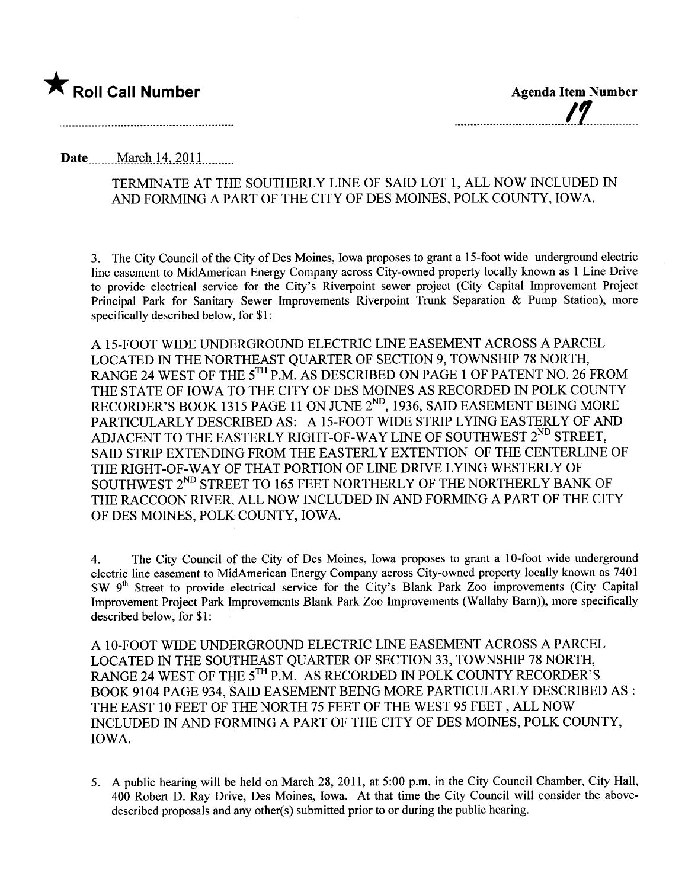

Date \_\_\_\_\_ March 14, 2011

## TERMINATE AT THE SOUTHERLY LINE OF SAID LOT 1, ALL NOW INCLUDED IN AND FORMING A PART OF THE CITY OF DES MOINES, POLK COUNTY, IOWA.

3. The City Council of the City of Des Moines, Iowa proposes to grant a 15-foot wide underground electric line easement to MidAmerican Energy Company across City-owned property locally known as 1 Line Drive to provide electrical service for the City's Riverpoint sewer project (City Capital Improvement Project Principal Park for Sanitary Sewer Improvements Riverpoint Trunk Separation & Pump Station), more specifically described below, for \$1:

A 15-FOOT WIDE UNDERGROUND ELECTRIC LINE EASEMENT ACROSS A PARCEL LOCATED IN THE NORTHEAST QUARTER OF SECTION 9, TOWNSHIP 78 NORTH, RANGE 24 WEST OF THE 5<sup>TH</sup> P.M. AS DESCRIBED ON PAGE 1 OF PATENT NO. 26 FROM THE STATE OF IOWA TO THE CITY OF DES MOINES AS RECORDED IN POLK COUNTY RECORDER'S BOOK 1315 PAGE 11 ON JUNE 2<sup>ND</sup>, 1936, SAID EASEMENT BEING MORE PARTICULARLY DESCRIBED AS: A 15-FOOT WIDE STRIP LYING EASTERLY OF AND ADJACENT TO THE EASTERLY RIGHT-OF-WAY LINE OF SOUTHWEST 2<sup>ND</sup> STREET, SAID STRIP EXTENDING FROM THE EASTERLY EXTENTION OF THE CENTERLINE OF THE RIGHT-OF-WAY OF THAT PORTION OF LINE DRIVE LYING WESTERLY OF SOUTHWEST 2<sup>ND</sup> STREET TO 165 FEET NORTHERLY OF THE NORTHERLY BANK OF THE RACCOON RIVER, ALL NOW INCLUDED IN AND FORMING APART OF THE CITY OF DES MOINES, POLK COUNTY, IOWA.

4. The City Council of the City of Des Moines, Iowa proposes to grant a 10-foot wide underground electric line easement to MidAmerican Energy Company across City-owned property locally known as 7401 SW 9<sup>th</sup> Street to provide electrical service for the City's Blank Park Zoo improvements (City Capital Improvement Project Park Improvements Blank Park Zoo Improvements (Wallaby Barn)), more specifically described below, for \$1:

A 10-FOOT WIDE UNDERGROUND ELECTRIC LINE EASEMENT ACROSS A PARCEL LOCATED IN THE SOUTHEAST QUARTER OF SECTION 33, TOWNSHIP 78 NORTH, RANGE 24 WEST OF THE 5<sup>TH</sup> P.M. AS RECORDED IN POLK COUNTY RECORDER'S BOOK 9104 PAGE 934, SAID EASEMENT BEING MORE PARTICULARLY DESCRIBED AS : THE EAST 10 FEET OF THE NORTH 75 FEET OF THE WEST 95 FEET, ALL NOW INCLUDED IN AND FORMING A PART OF THE CITY OF DES MOINES, POLK COUNTY, IOWA.

5. A public hearing wil be held on March 28, 2011, at 5:00 p.m. in the City Council Chamber, City Hall, 400 Robert D. Ray Drive, Des Moines, Iowa. At that time the City Council will consider the abovedescribed proposals and any other(s) submitted prior to or during the public hearing.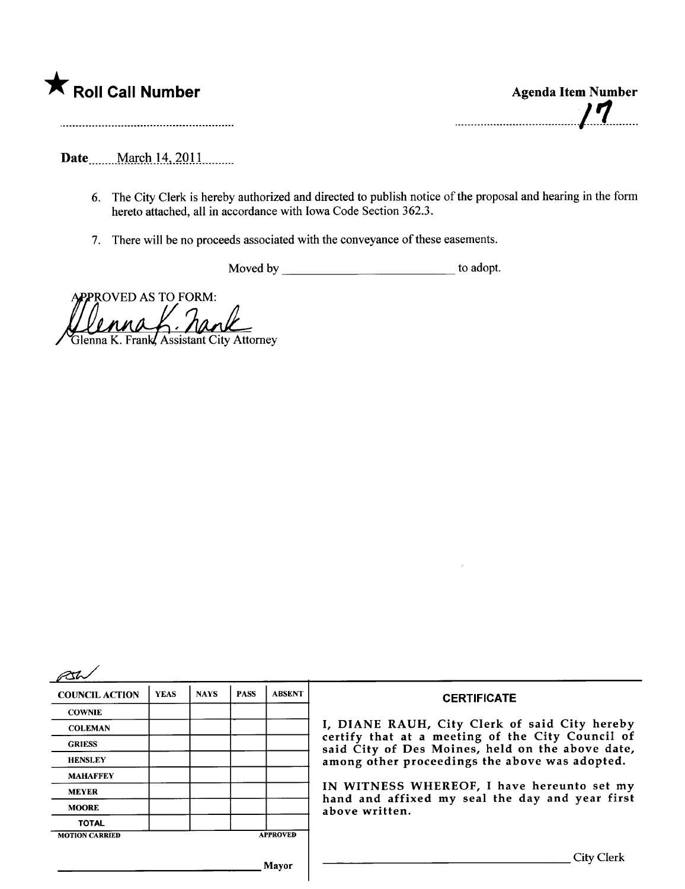

. ....., ........ ........ ........, ,...., ,1.'1........

Date <u>march</u> 14, 2011

- 6. The City Clerk is hereby authorized and directed to publish notice of the proposal and hearing in the form hereto attached, all in accordance with Iowa Code Section 362.3.
- 7. There will be no proceeds associated with the conveyance of these easements.

Moved by <u>the contract of the adopt.</u>

**APPROVED AS TO FORM:**  $\theta$ *nun* Glenna K. Frank, Assistant City Attorney

| <b>COUNCIL ACTION</b> | <b>YEAS</b> | <b>NAYS</b> | <b>PASS</b> | <b>ABSENT</b>   | <b>CERTIFICATE</b>                                                                                                                                                                                      |
|-----------------------|-------------|-------------|-------------|-----------------|---------------------------------------------------------------------------------------------------------------------------------------------------------------------------------------------------------|
| <b>COWNIE</b>         |             |             |             |                 |                                                                                                                                                                                                         |
| <b>COLEMAN</b>        |             |             |             |                 | I, DIANE RAUH, City Clerk of said City hereby<br>certify that at a meeting of the City Council of<br>said City of Des Moines, held on the above date,<br>among other proceedings the above was adopted. |
| <b>GRIESS</b>         |             |             |             |                 |                                                                                                                                                                                                         |
| <b>HENSLEY</b>        |             |             |             |                 |                                                                                                                                                                                                         |
| <b>MAHAFFEY</b>       |             |             |             |                 |                                                                                                                                                                                                         |
| <b>MEYER</b>          |             |             |             |                 | IN WITNESS WHEREOF, I have hereunto set my<br>hand and affixed my seal the day and year first<br>above written.                                                                                         |
| <b>MOORE</b>          |             |             |             |                 |                                                                                                                                                                                                         |
| <b>TOTAL</b>          |             |             |             |                 |                                                                                                                                                                                                         |
| <b>MOTION CARRIED</b> |             |             |             | <b>APPROVED</b> |                                                                                                                                                                                                         |
|                       |             |             |             | Mayor           | <b>City Clerk</b>                                                                                                                                                                                       |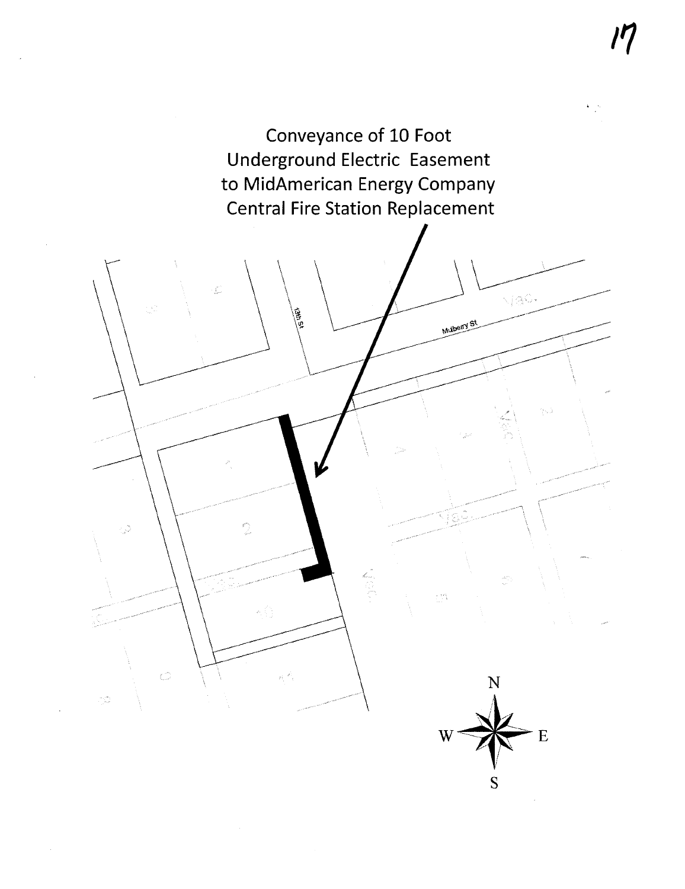

l' [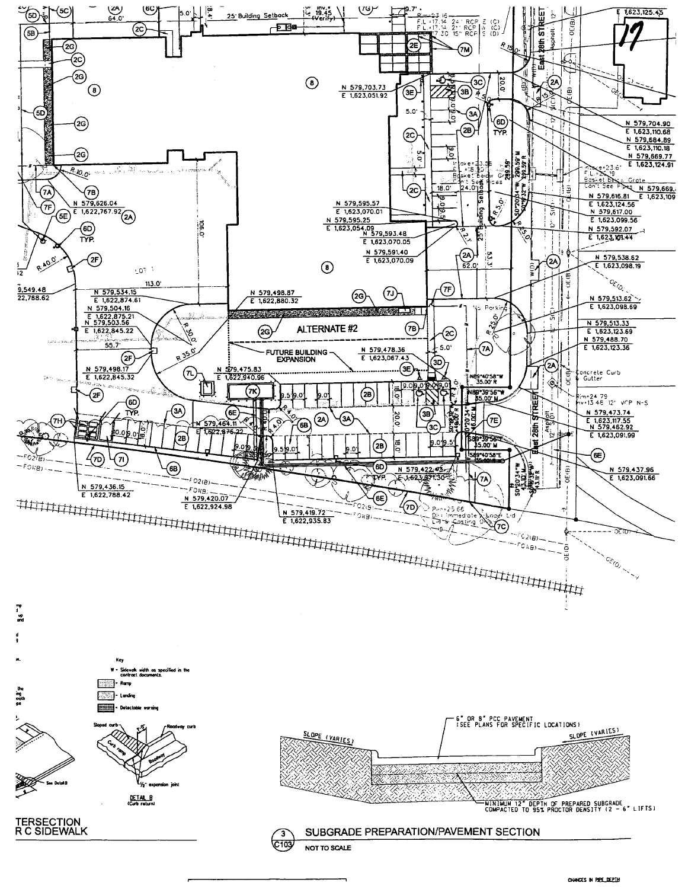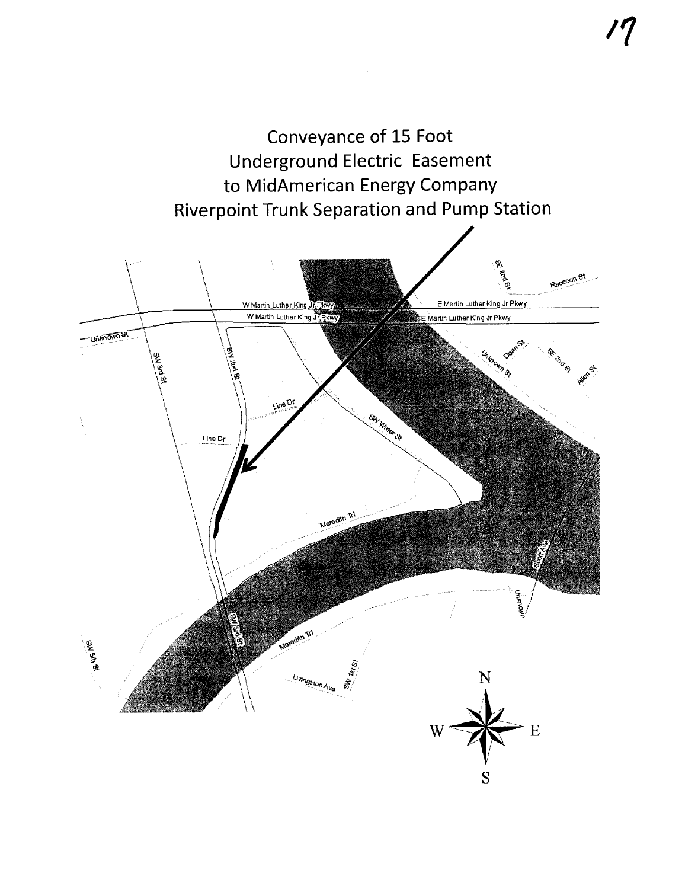